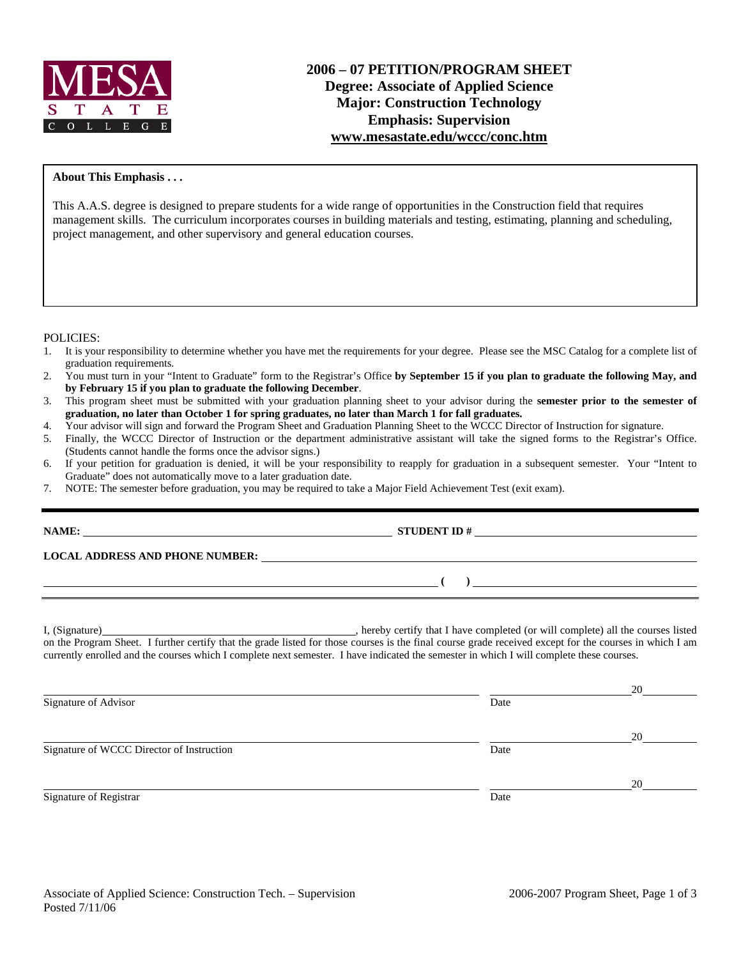

### **About This Emphasis . . .**

This A.A.S. degree is designed to prepare students for a wide range of opportunities in the Construction field that requires management skills. The curriculum incorporates courses in building materials and testing, estimating, planning and scheduling, project management, and other supervisory and general education courses.

#### POLICIES:

- 1. It is your responsibility to determine whether you have met the requirements for your degree. Please see the MSC Catalog for a complete list of graduation requirements.
- 2. You must turn in your "Intent to Graduate" form to the Registrar's Office **by September 15 if you plan to graduate the following May, and by February 15 if you plan to graduate the following December**.
- 3. This program sheet must be submitted with your graduation planning sheet to your advisor during the **semester prior to the semester of graduation, no later than October 1 for spring graduates, no later than March 1 for fall graduates.**
- 4. Your advisor will sign and forward the Program Sheet and Graduation Planning Sheet to the WCCC Director of Instruction for signature.<br>5. Finally, the WCCC Director of Instruction or the department administrative assista
- 5. Finally, the WCCC Director of Instruction or the department administrative assistant will take the signed forms to the Registrar's Office. (Students cannot handle the forms once the advisor signs.)
- 6. If your petition for graduation is denied, it will be your responsibility to reapply for graduation in a subsequent semester. Your "Intent to Graduate" does not automatically move to a later graduation date.
- 7. NOTE: The semester before graduation, you may be required to take a Major Field Achievement Test (exit exam).

| NAME:                                     |                                                                                                                                          |  |
|-------------------------------------------|------------------------------------------------------------------------------------------------------------------------------------------|--|
|                                           |                                                                                                                                          |  |
|                                           | $\overline{a}$ (b) and the contract of $\overline{a}$ (b) and the contract of $\overline{a}$ (b) and the contract of $\overline{a}$      |  |
|                                           | currently enrolled and the courses which I complete next semester. I have indicated the semester in which I will complete these courses. |  |
| Signature of Advisor                      | Date                                                                                                                                     |  |
|                                           |                                                                                                                                          |  |
| Signature of WCCC Director of Instruction | Date                                                                                                                                     |  |

20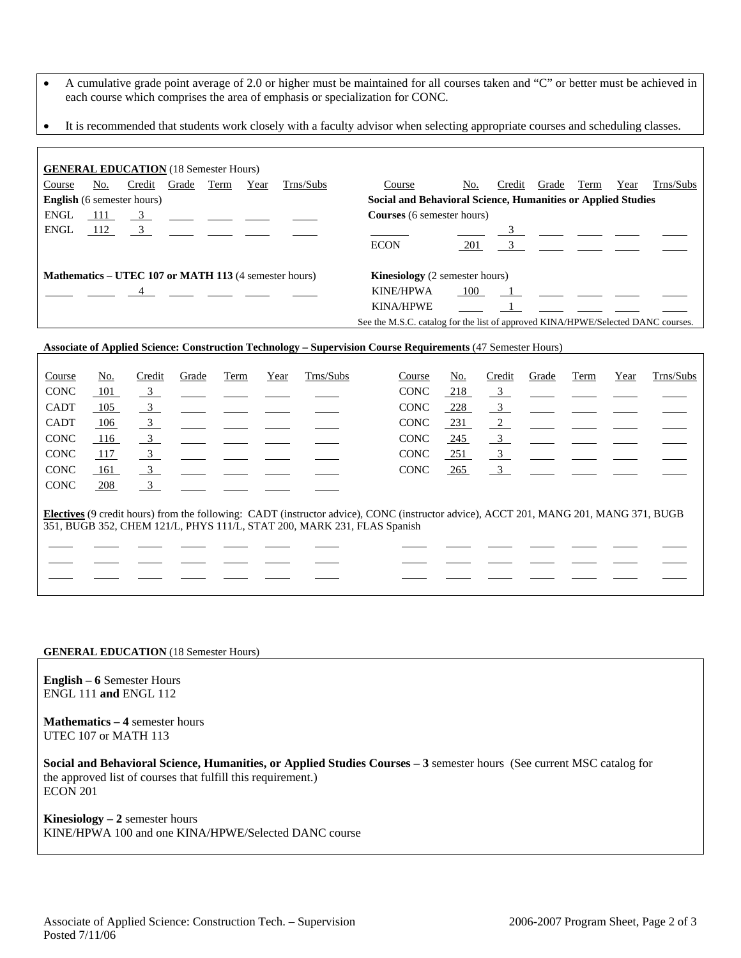- A cumulative grade point average of 2.0 or higher must be maintained for all courses taken and "C" or better must be achieved in each course which comprises the area of emphasis or specialization for CONC.
- It is recommended that students work closely with a faculty advisor when selecting appropriate courses and scheduling classes.

| <b>GENERAL EDUCATION</b> (18 Semester Hours)                 |     |                                                                                     |                |      |      |                                       |                                                                                  |                                                              |        |                |      |      |           |  |
|--------------------------------------------------------------|-----|-------------------------------------------------------------------------------------|----------------|------|------|---------------------------------------|----------------------------------------------------------------------------------|--------------------------------------------------------------|--------|----------------|------|------|-----------|--|
| Course                                                       | No. | Credit                                                                              | Grade          | Term | Year | Trns/Subs                             | Course                                                                           | No.                                                          | Credit | Grade          | Term | Year | Trns/Subs |  |
| <b>English</b> (6 semester hours)                            |     |                                                                                     |                |      |      |                                       |                                                                                  | Social and Behavioral Science, Humanities or Applied Studies |        |                |      |      |           |  |
| ENGL                                                         | 111 | $\frac{3}{2}$ $\frac{1}{2}$ $\frac{1}{2}$ $\frac{1}{2}$ $\frac{1}{2}$ $\frac{1}{2}$ |                |      |      |                                       | <b>Courses</b> (6 semester hours)                                                |                                                              |        |                |      |      |           |  |
| ENGL                                                         | 112 | $\overline{3}$                                                                      |                |      |      |                                       |                                                                                  |                                                              |        |                |      |      |           |  |
|                                                              |     |                                                                                     |                |      |      |                                       | <b>ECON</b>                                                                      | 201                                                          |        | $\overline{3}$ |      |      |           |  |
| <b>Mathematics – UTEC 107 or MATH 113 (4 semester hours)</b> |     |                                                                                     |                |      |      | <b>Kinesiology</b> (2 semester hours) |                                                                                  |                                                              |        |                |      |      |           |  |
|                                                              |     |                                                                                     | $\overline{4}$ |      |      |                                       | <b>KINE/HPWA</b>                                                                 | 100                                                          |        |                |      |      |           |  |
|                                                              |     |                                                                                     |                |      |      |                                       | <b>KINA/HPWE</b>                                                                 |                                                              |        |                |      |      |           |  |
|                                                              |     |                                                                                     |                |      |      |                                       | See the M.S.C. catalog for the list of approved KINA/HPWE/Selected DANC courses. |                                                              |        |                |      |      |           |  |

### **Associate of Applied Science: Construction Technology – Supervision Course Requirements** (47 Semester Hours)

| Course                                                                                                                                                                                                                  | No. | Credit                    | Grade | Term | Year | Trns/Subs | Course      | No.        | Credit                  | Grade | Term | Year | Trns/Subs |
|-------------------------------------------------------------------------------------------------------------------------------------------------------------------------------------------------------------------------|-----|---------------------------|-------|------|------|-----------|-------------|------------|-------------------------|-------|------|------|-----------|
| <b>CONC</b>                                                                                                                                                                                                             | 101 | $\overline{\phantom{0}3}$ |       |      |      |           | <b>CONC</b> | 218        | $\frac{3}{2}$           |       |      |      |           |
| <b>CADT</b>                                                                                                                                                                                                             | 105 | $\frac{3}{2}$             |       |      |      |           | <b>CONC</b> | 228        | $\overline{\mathbf{3}}$ |       |      |      |           |
| <b>CADT</b>                                                                                                                                                                                                             | 106 | $\overline{\mathbf{3}}$   |       |      |      |           | <b>CONC</b> | 231        | 2                       |       |      |      |           |
| <b>CONC</b>                                                                                                                                                                                                             | 116 | $\overline{\phantom{0}3}$ |       |      |      |           | <b>CONC</b> | <u>245</u> | $\overline{\mathbf{3}}$ |       |      |      |           |
| <b>CONC</b>                                                                                                                                                                                                             | 117 | $\overline{\mathbf{3}}$   |       |      |      |           | <b>CONC</b> | 251        | $\frac{3}{2}$           |       |      |      |           |
| <b>CONC</b>                                                                                                                                                                                                             | 161 | $\overline{\mathbf{3}}$   |       |      |      |           | <b>CONC</b> | 265        | $\frac{3}{2}$           |       |      |      |           |
| <b>CONC</b>                                                                                                                                                                                                             | 208 | $\overline{\mathbf{3}}$   |       |      |      |           |             |            |                         |       |      |      |           |
| <b>Electives</b> (9 credit hours) from the following: CADT (instructor advice), CONC (instructor advice), ACCT 201, MANG 201, MANG 371, BUGB<br>351, BUGB 352, CHEM 121/L, PHYS 111/L, STAT 200, MARK 231, FLAS Spanish |     |                           |       |      |      |           |             |            |                         |       |      |      |           |
|                                                                                                                                                                                                                         |     |                           |       |      |      |           |             |            |                         |       |      |      |           |
|                                                                                                                                                                                                                         |     |                           |       |      |      |           |             |            |                         |       |      |      |           |
|                                                                                                                                                                                                                         |     |                           |       |      |      |           |             |            |                         |       |      |      |           |
|                                                                                                                                                                                                                         |     |                           |       |      |      |           |             |            |                         |       |      |      |           |

#### **GENERAL EDUCATION** (18 Semester Hours)

**English – 6** Semester Hours ENGL 111 **and** ENGL 112

**Mathematics – 4** semester hours UTEC 107 or MATH 113

**Social and Behavioral Science, Humanities, or Applied Studies Courses – 3** semester hours (See current MSC catalog for the approved list of courses that fulfill this requirement.) ECON 201

**Kinesiology – 2** semester hours KINE/HPWA 100 and one KINA/HPWE/Selected DANC course